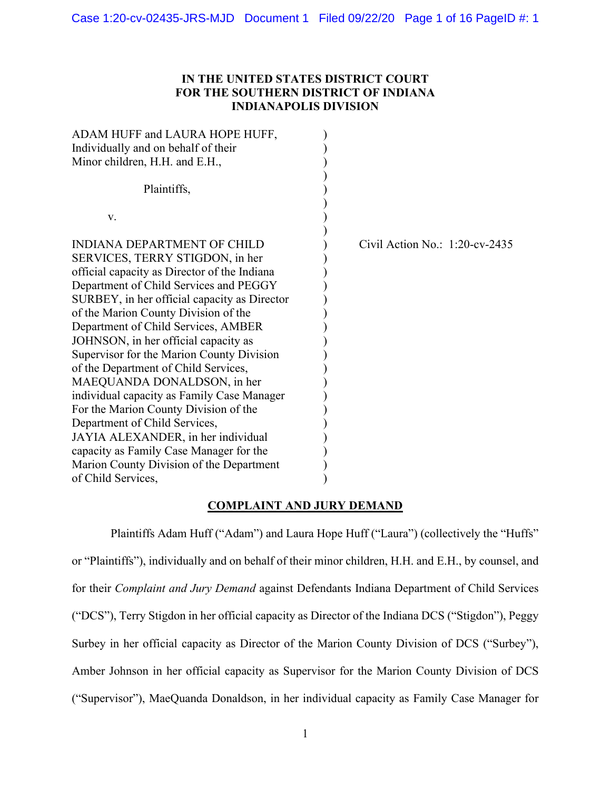## **IN THE UNITED STATES DISTRICT COURT FOR THE SOUTHERN DISTRICT OF INDIANA INDIANAPOLIS DIVISION**

| ADAM HUFF and LAURA HOPE HUFF,<br>Individually and on behalf of their<br>Minor children, H.H. and E.H.,<br>Plaintiffs,                                                                                                                                                                                                                                                                                                                                                                                                                                                                                                                                                                                                         |                                   |
|--------------------------------------------------------------------------------------------------------------------------------------------------------------------------------------------------------------------------------------------------------------------------------------------------------------------------------------------------------------------------------------------------------------------------------------------------------------------------------------------------------------------------------------------------------------------------------------------------------------------------------------------------------------------------------------------------------------------------------|-----------------------------------|
| V.                                                                                                                                                                                                                                                                                                                                                                                                                                                                                                                                                                                                                                                                                                                             |                                   |
| INDIANA DEPARTMENT OF CHILD<br>SERVICES, TERRY STIGDON, in her<br>official capacity as Director of the Indiana<br>Department of Child Services and PEGGY<br>SURBEY, in her official capacity as Director<br>of the Marion County Division of the<br>Department of Child Services, AMBER<br>JOHNSON, in her official capacity as<br>Supervisor for the Marion County Division<br>of the Department of Child Services,<br>MAEQUANDA DONALDSON, in her<br>individual capacity as Family Case Manager<br>For the Marion County Division of the<br>Department of Child Services,<br>JAYIA ALEXANDER, in her individual<br>capacity as Family Case Manager for the<br>Marion County Division of the Department<br>of Child Services, | Civil Action No.: $1:20$ -cv-2435 |

## **COMPLAINT AND JURY DEMAND**

Plaintiffs Adam Huff ("Adam") and Laura Hope Huff ("Laura") (collectively the "Huffs" or "Plaintiffs"), individually and on behalf of their minor children, H.H. and E.H., by counsel, and for their *Complaint and Jury Demand* against Defendants Indiana Department of Child Services ("DCS"), Terry Stigdon in her official capacity as Director of the Indiana DCS ("Stigdon"), Peggy Surbey in her official capacity as Director of the Marion County Division of DCS ("Surbey"), Amber Johnson in her official capacity as Supervisor for the Marion County Division of DCS ("Supervisor"), MaeQuanda Donaldson, in her individual capacity as Family Case Manager for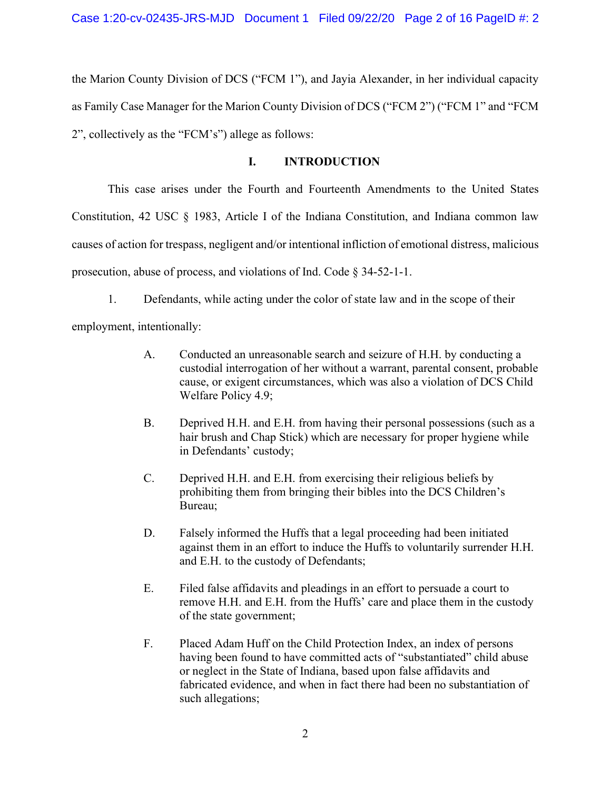the Marion County Division of DCS ("FCM 1"), and Jayia Alexander, in her individual capacity as Family Case Manager for the Marion County Division of DCS ("FCM 2") ("FCM 1" and "FCM 2", collectively as the "FCM's") allege as follows:

### **I. INTRODUCTION**

This case arises under the Fourth and Fourteenth Amendments to the United States Constitution, 42 USC § 1983, Article I of the Indiana Constitution, and Indiana common law causes of action for trespass, negligent and/or intentional infliction of emotional distress, malicious prosecution, abuse of process, and violations of Ind. Code § 34-52-1-1.

1. Defendants, while acting under the color of state law and in the scope of their employment, intentionally:

- A. Conducted an unreasonable search and seizure of H.H. by conducting a custodial interrogation of her without a warrant, parental consent, probable cause, or exigent circumstances, which was also a violation of DCS Child Welfare Policy 4.9;
- B. Deprived H.H. and E.H. from having their personal possessions (such as a hair brush and Chap Stick) which are necessary for proper hygiene while in Defendants' custody;
- C. Deprived H.H. and E.H. from exercising their religious beliefs by prohibiting them from bringing their bibles into the DCS Children's Bureau;
- D. Falsely informed the Huffs that a legal proceeding had been initiated against them in an effort to induce the Huffs to voluntarily surrender H.H. and E.H. to the custody of Defendants;
- E. Filed false affidavits and pleadings in an effort to persuade a court to remove H.H. and E.H. from the Huffs' care and place them in the custody of the state government;
- F. Placed Adam Huff on the Child Protection Index, an index of persons having been found to have committed acts of "substantiated" child abuse or neglect in the State of Indiana, based upon false affidavits and fabricated evidence, and when in fact there had been no substantiation of such allegations;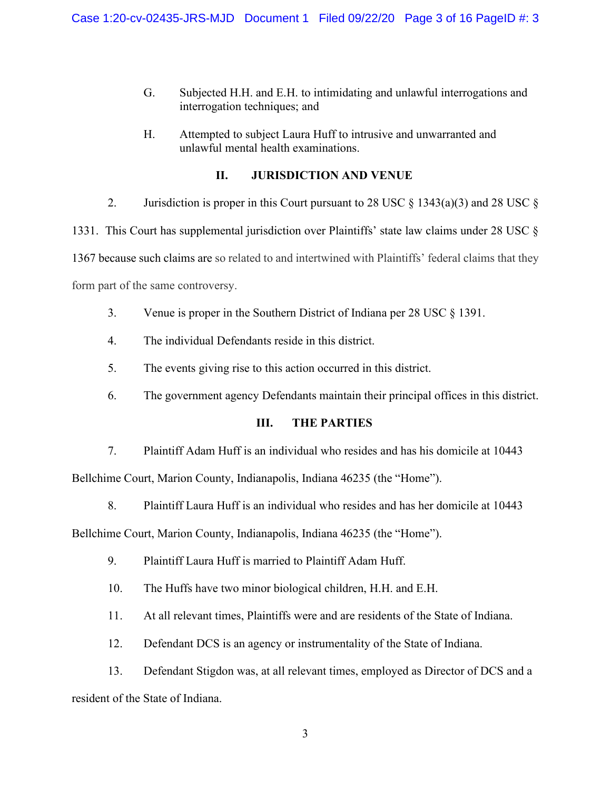- G. Subjected H.H. and E.H. to intimidating and unlawful interrogations and interrogation techniques; and
- H. Attempted to subject Laura Huff to intrusive and unwarranted and unlawful mental health examinations.

# **II. JURISDICTION AND VENUE**

2. Jurisdiction is proper in this Court pursuant to 28 USC  $\S$  1343(a)(3) and 28 USC  $\S$ 1331. This Court has supplemental jurisdiction over Plaintiffs' state law claims under 28 USC § 1367 because such claims are so related to and intertwined with Plaintiffs' federal claims that they

form part of the same controversy.

- 3. Venue is proper in the Southern District of Indiana per 28 USC § 1391.
- 4. The individual Defendants reside in this district.
- 5. The events giving rise to this action occurred in this district.
- 6. The government agency Defendants maintain their principal offices in this district.

# **III. THE PARTIES**

7. Plaintiff Adam Huff is an individual who resides and has his domicile at 10443 Bellchime Court, Marion County, Indianapolis, Indiana 46235 (the "Home").

8. Plaintiff Laura Huff is an individual who resides and has her domicile at 10443

Bellchime Court, Marion County, Indianapolis, Indiana 46235 (the "Home").

- 9. Plaintiff Laura Huff is married to Plaintiff Adam Huff.
- 10. The Huffs have two minor biological children, H.H. and E.H.
- 11. At all relevant times, Plaintiffs were and are residents of the State of Indiana.
- 12. Defendant DCS is an agency or instrumentality of the State of Indiana.

13. Defendant Stigdon was, at all relevant times, employed as Director of DCS and a resident of the State of Indiana.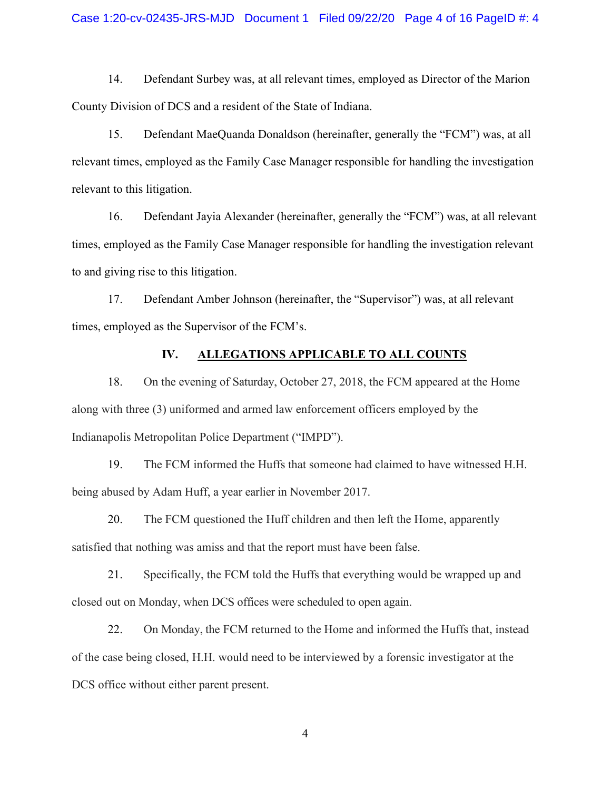14. Defendant Surbey was, at all relevant times, employed as Director of the Marion County Division of DCS and a resident of the State of Indiana.

15. Defendant MaeQuanda Donaldson (hereinafter, generally the "FCM") was, at all relevant times, employed as the Family Case Manager responsible for handling the investigation relevant to this litigation.

16. Defendant Jayia Alexander (hereinafter, generally the "FCM") was, at all relevant times, employed as the Family Case Manager responsible for handling the investigation relevant to and giving rise to this litigation.

17. Defendant Amber Johnson (hereinafter, the "Supervisor") was, at all relevant times, employed as the Supervisor of the FCM's.

### **IV. ALLEGATIONS APPLICABLE TO ALL COUNTS**

18. On the evening of Saturday, October 27, 2018, the FCM appeared at the Home along with three (3) uniformed and armed law enforcement officers employed by the Indianapolis Metropolitan Police Department ("IMPD").

19. The FCM informed the Huffs that someone had claimed to have witnessed H.H. being abused by Adam Huff, a year earlier in November 2017.

20. The FCM questioned the Huff children and then left the Home, apparently satisfied that nothing was amiss and that the report must have been false.

21. Specifically, the FCM told the Huffs that everything would be wrapped up and closed out on Monday, when DCS offices were scheduled to open again.

22. On Monday, the FCM returned to the Home and informed the Huffs that, instead of the case being closed, H.H. would need to be interviewed by a forensic investigator at the DCS office without either parent present.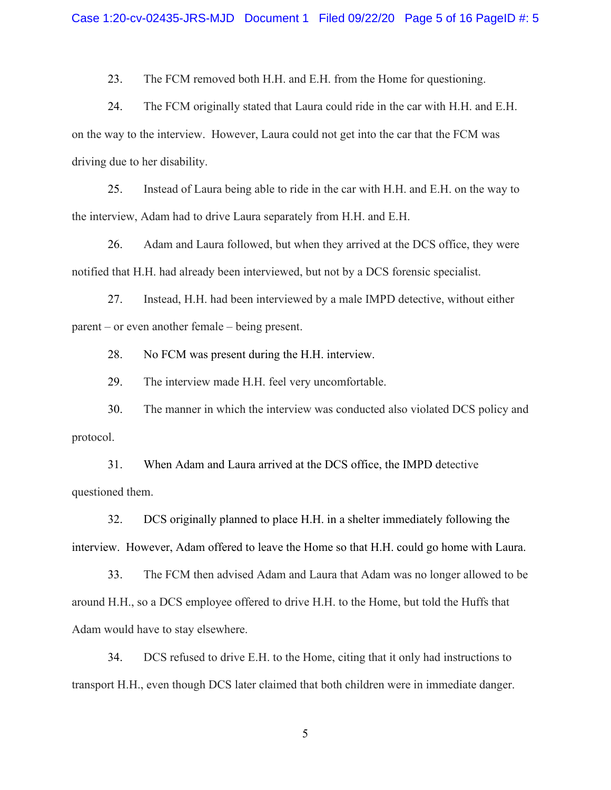23. The FCM removed both H.H. and E.H. from the Home for questioning.

24. The FCM originally stated that Laura could ride in the car with H.H. and E.H. on the way to the interview. However, Laura could not get into the car that the FCM was driving due to her disability.

25. Instead of Laura being able to ride in the car with H.H. and E.H. on the way to the interview, Adam had to drive Laura separately from H.H. and E.H.

26. Adam and Laura followed, but when they arrived at the DCS office, they were notified that H.H. had already been interviewed, but not by a DCS forensic specialist.

27. Instead, H.H. had been interviewed by a male IMPD detective, without either parent – or even another female – being present.

28. No FCM was present during the H.H. interview.

29. The interview made H.H. feel very uncomfortable.

30. The manner in which the interview was conducted also violated DCS policy and protocol.

31. When Adam and Laura arrived at the DCS office, the IMPD detective questioned them.

32. DCS originally planned to place H.H. in a shelter immediately following the interview. However, Adam offered to leave the Home so that H.H. could go home with Laura.

33. The FCM then advised Adam and Laura that Adam was no longer allowed to be around H.H., so a DCS employee offered to drive H.H. to the Home, but told the Huffs that Adam would have to stay elsewhere.

34. DCS refused to drive E.H. to the Home, citing that it only had instructions to transport H.H., even though DCS later claimed that both children were in immediate danger.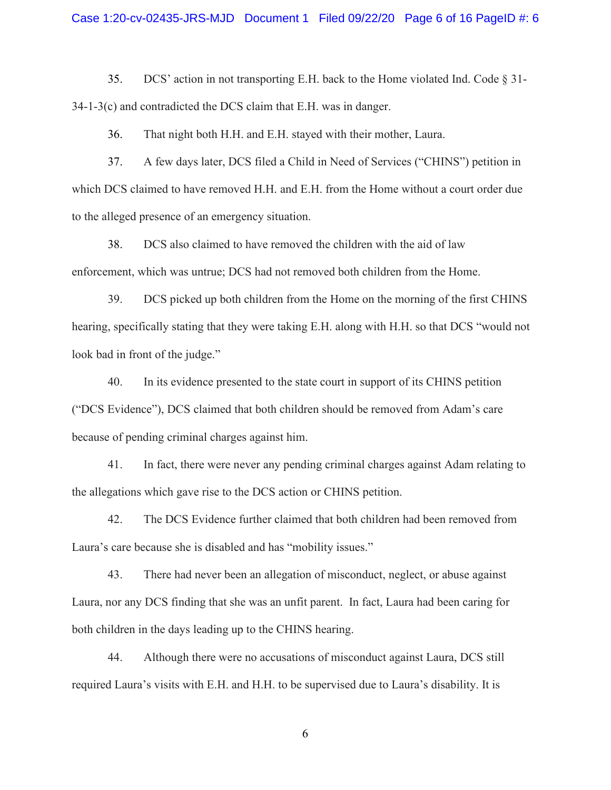#### Case 1:20-cv-02435-JRS-MJD Document 1 Filed 09/22/20 Page 6 of 16 PageID #: 6

35. DCS' action in not transporting E.H. back to the Home violated Ind. Code § 31- 34-1-3(c) and contradicted the DCS claim that E.H. was in danger.

36. That night both H.H. and E.H. stayed with their mother, Laura.

37. A few days later, DCS filed a Child in Need of Services ("CHINS") petition in which DCS claimed to have removed H.H. and E.H. from the Home without a court order due to the alleged presence of an emergency situation.

38. DCS also claimed to have removed the children with the aid of law enforcement, which was untrue; DCS had not removed both children from the Home.

39. DCS picked up both children from the Home on the morning of the first CHINS hearing, specifically stating that they were taking E.H. along with H.H. so that DCS "would not look bad in front of the judge."

40. In its evidence presented to the state court in support of its CHINS petition ("DCS Evidence"), DCS claimed that both children should be removed from Adam's care because of pending criminal charges against him.

41. In fact, there were never any pending criminal charges against Adam relating to the allegations which gave rise to the DCS action or CHINS petition.

42. The DCS Evidence further claimed that both children had been removed from Laura's care because she is disabled and has "mobility issues."

43. There had never been an allegation of misconduct, neglect, or abuse against Laura, nor any DCS finding that she was an unfit parent. In fact, Laura had been caring for both children in the days leading up to the CHINS hearing.

44. Although there were no accusations of misconduct against Laura, DCS still required Laura's visits with E.H. and H.H. to be supervised due to Laura's disability. It is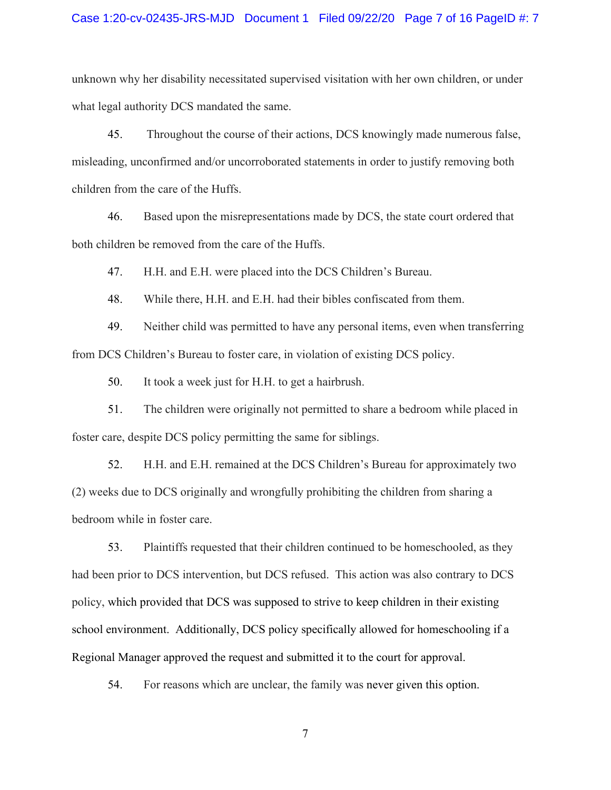#### Case 1:20-cv-02435-JRS-MJD Document 1 Filed 09/22/20 Page 7 of 16 PageID #: 7

unknown why her disability necessitated supervised visitation with her own children, or under what legal authority DCS mandated the same.

45. Throughout the course of their actions, DCS knowingly made numerous false, misleading, unconfirmed and/or uncorroborated statements in order to justify removing both children from the care of the Huffs.

46. Based upon the misrepresentations made by DCS, the state court ordered that both children be removed from the care of the Huffs.

47. H.H. and E.H. were placed into the DCS Children's Bureau.

48. While there, H.H. and E.H. had their bibles confiscated from them.

49. Neither child was permitted to have any personal items, even when transferring from DCS Children's Bureau to foster care, in violation of existing DCS policy.

50. It took a week just for H.H. to get a hairbrush.

51. The children were originally not permitted to share a bedroom while placed in foster care, despite DCS policy permitting the same for siblings.

52. H.H. and E.H. remained at the DCS Children's Bureau for approximately two (2) weeks due to DCS originally and wrongfully prohibiting the children from sharing a bedroom while in foster care.

53. Plaintiffs requested that their children continued to be homeschooled, as they had been prior to DCS intervention, but DCS refused. This action was also contrary to DCS policy, which provided that DCS was supposed to strive to keep children in their existing school environment. Additionally, DCS policy specifically allowed for homeschooling if a Regional Manager approved the request and submitted it to the court for approval.

54. For reasons which are unclear, the family was never given this option.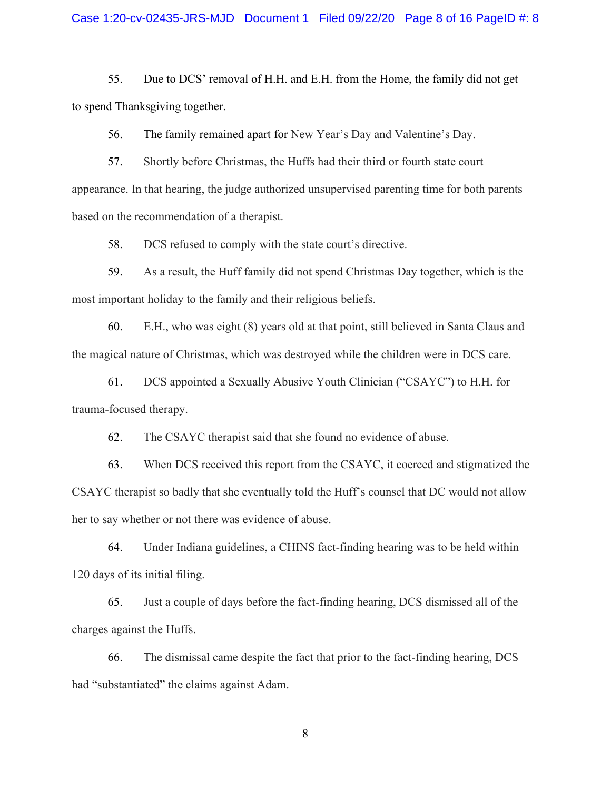55. Due to DCS' removal of H.H. and E.H. from the Home, the family did not get to spend Thanksgiving together.

56. The family remained apart for New Year's Day and Valentine's Day.

57. Shortly before Christmas, the Huffs had their third or fourth state court appearance. In that hearing, the judge authorized unsupervised parenting time for both parents based on the recommendation of a therapist.

58. DCS refused to comply with the state court's directive.

59. As a result, the Huff family did not spend Christmas Day together, which is the most important holiday to the family and their religious beliefs.

60. E.H., who was eight (8) years old at that point, still believed in Santa Claus and the magical nature of Christmas, which was destroyed while the children were in DCS care.

61. DCS appointed a Sexually Abusive Youth Clinician ("CSAYC") to H.H. for trauma-focused therapy.

62. The CSAYC therapist said that she found no evidence of abuse.

63. When DCS received this report from the CSAYC, it coerced and stigmatized the CSAYC therapist so badly that she eventually told the Huff's counsel that DC would not allow her to say whether or not there was evidence of abuse.

64. Under Indiana guidelines, a CHINS fact-finding hearing was to be held within 120 days of its initial filing.

65. Just a couple of days before the fact-finding hearing, DCS dismissed all of the charges against the Huffs.

66. The dismissal came despite the fact that prior to the fact-finding hearing, DCS had "substantiated" the claims against Adam.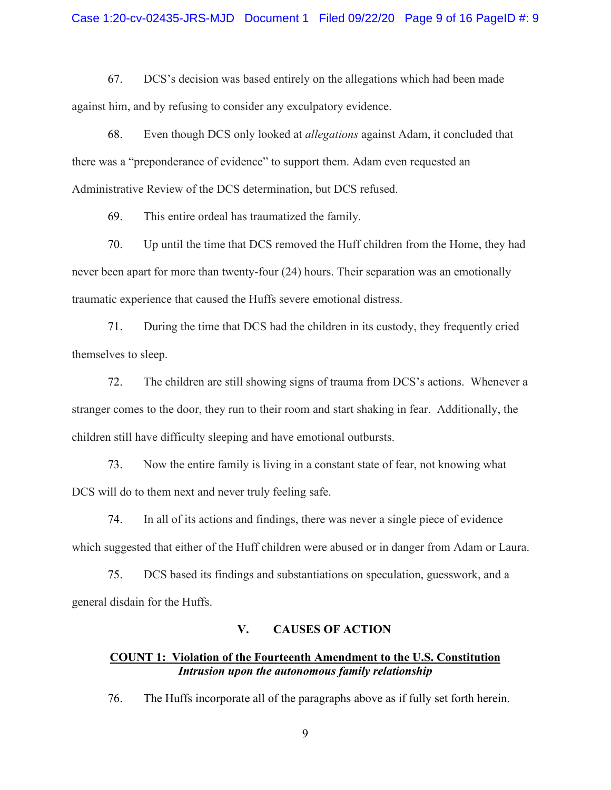67. DCS's decision was based entirely on the allegations which had been made against him, and by refusing to consider any exculpatory evidence.

68. Even though DCS only looked at *allegations* against Adam, it concluded that there was a "preponderance of evidence" to support them. Adam even requested an Administrative Review of the DCS determination, but DCS refused.

69. This entire ordeal has traumatized the family.

70. Up until the time that DCS removed the Huff children from the Home, they had never been apart for more than twenty-four (24) hours. Their separation was an emotionally traumatic experience that caused the Huffs severe emotional distress.

71. During the time that DCS had the children in its custody, they frequently cried themselves to sleep.

72. The children are still showing signs of trauma from DCS's actions. Whenever a stranger comes to the door, they run to their room and start shaking in fear. Additionally, the children still have difficulty sleeping and have emotional outbursts.

73. Now the entire family is living in a constant state of fear, not knowing what DCS will do to them next and never truly feeling safe.

74. In all of its actions and findings, there was never a single piece of evidence which suggested that either of the Huff children were abused or in danger from Adam or Laura.

75. DCS based its findings and substantiations on speculation, guesswork, and a general disdain for the Huffs.

#### **V. CAUSES OF ACTION**

## **COUNT 1: Violation of the Fourteenth Amendment to the U.S. Constitution** *Intrusion upon the autonomous family relationship*

76. The Huffs incorporate all of the paragraphs above as if fully set forth herein.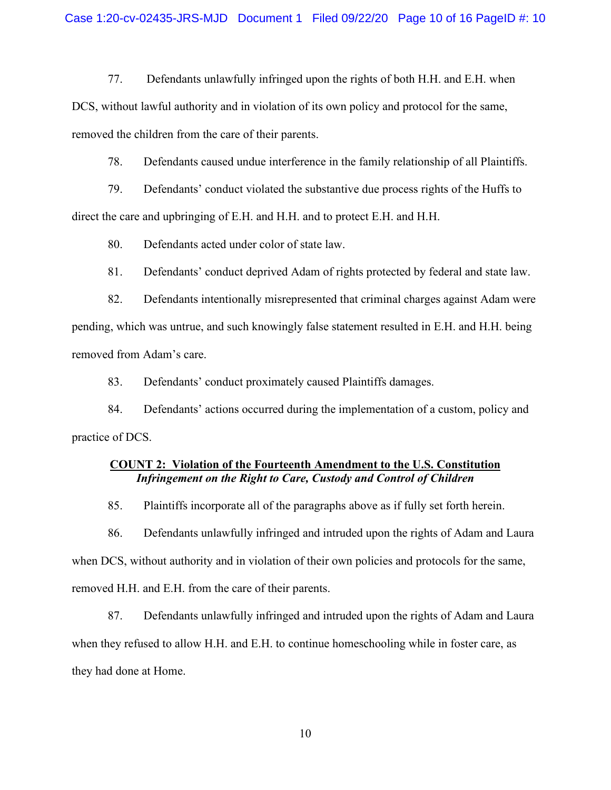77. Defendants unlawfully infringed upon the rights of both H.H. and E.H. when

DCS, without lawful authority and in violation of its own policy and protocol for the same, removed the children from the care of their parents.

78. Defendants caused undue interference in the family relationship of all Plaintiffs.

79. Defendants' conduct violated the substantive due process rights of the Huffs to direct the care and upbringing of E.H. and H.H. and to protect E.H. and H.H.

80. Defendants acted under color of state law.

81. Defendants' conduct deprived Adam of rights protected by federal and state law.

82. Defendants intentionally misrepresented that criminal charges against Adam were pending, which was untrue, and such knowingly false statement resulted in E.H. and H.H. being removed from Adam's care.

83. Defendants' conduct proximately caused Plaintiffs damages.

84. Defendants' actions occurred during the implementation of a custom, policy and practice of DCS.

## **COUNT 2: Violation of the Fourteenth Amendment to the U.S. Constitution** *Infringement on the Right to Care, Custody and Control of Children*

85. Plaintiffs incorporate all of the paragraphs above as if fully set forth herein.

86. Defendants unlawfully infringed and intruded upon the rights of Adam and Laura

when DCS, without authority and in violation of their own policies and protocols for the same,

removed H.H. and E.H. from the care of their parents.

87. Defendants unlawfully infringed and intruded upon the rights of Adam and Laura when they refused to allow H.H. and E.H. to continue homeschooling while in foster care, as they had done at Home.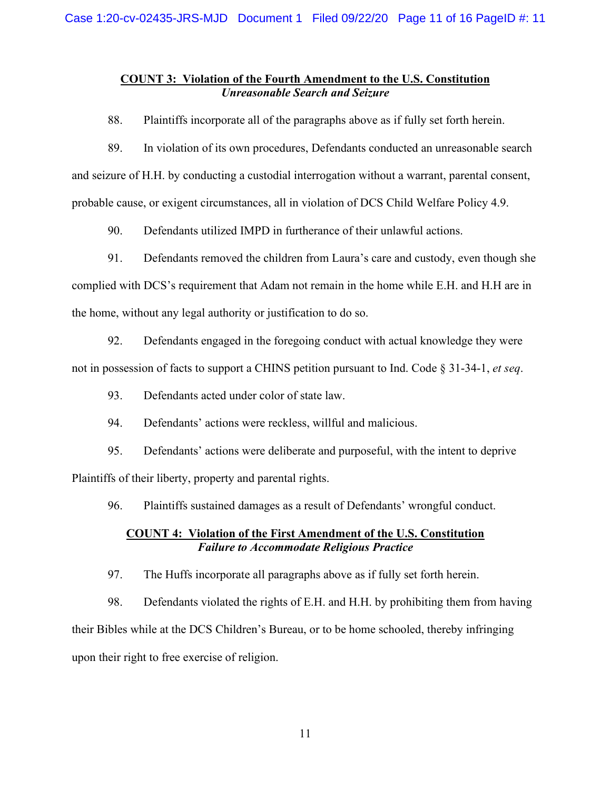## **COUNT 3: Violation of the Fourth Amendment to the U.S. Constitution** *Unreasonable Search and Seizure*

88. Plaintiffs incorporate all of the paragraphs above as if fully set forth herein.

89. In violation of its own procedures, Defendants conducted an unreasonable search and seizure of H.H. by conducting a custodial interrogation without a warrant, parental consent, probable cause, or exigent circumstances, all in violation of DCS Child Welfare Policy 4.9.

90. Defendants utilized IMPD in furtherance of their unlawful actions.

91. Defendants removed the children from Laura's care and custody, even though she complied with DCS's requirement that Adam not remain in the home while E.H. and H.H are in the home, without any legal authority or justification to do so.

92. Defendants engaged in the foregoing conduct with actual knowledge they were not in possession of facts to support a CHINS petition pursuant to Ind. Code § 31-34-1, *et seq*.

- 93. Defendants acted under color of state law.
- 94. Defendants' actions were reckless, willful and malicious.

95. Defendants' actions were deliberate and purposeful, with the intent to deprive Plaintiffs of their liberty, property and parental rights.

96. Plaintiffs sustained damages as a result of Defendants' wrongful conduct.

## **COUNT 4: Violation of the First Amendment of the U.S. Constitution** *Failure to Accommodate Religious Practice*

97. The Huffs incorporate all paragraphs above as if fully set forth herein.

98. Defendants violated the rights of E.H. and H.H. by prohibiting them from having their Bibles while at the DCS Children's Bureau, or to be home schooled, thereby infringing upon their right to free exercise of religion.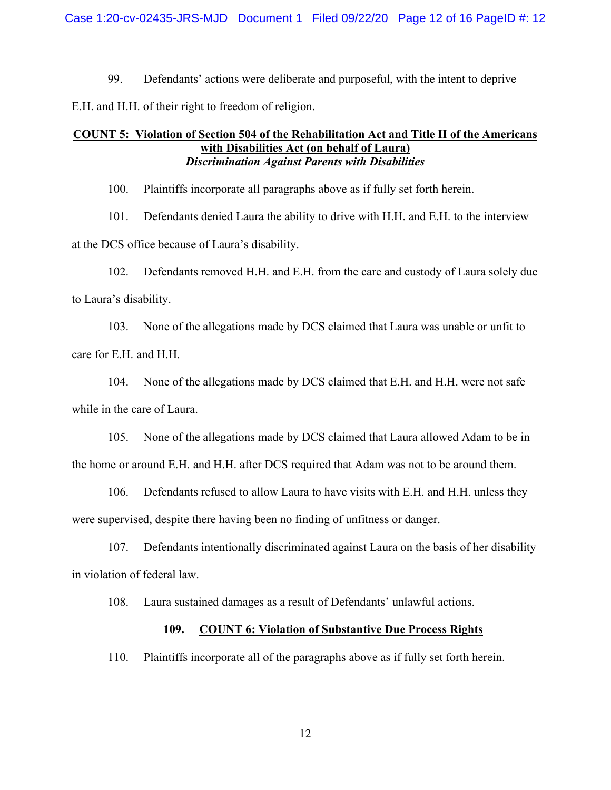99. Defendants' actions were deliberate and purposeful, with the intent to deprive

E.H. and H.H. of their right to freedom of religion.

## **COUNT 5: Violation of Section 504 of the Rehabilitation Act and Title II of the Americans with Disabilities Act (on behalf of Laura)** *Discrimination Against Parents with Disabilities*

100. Plaintiffs incorporate all paragraphs above as if fully set forth herein.

101. Defendants denied Laura the ability to drive with H.H. and E.H. to the interview at the DCS office because of Laura's disability.

102. Defendants removed H.H. and E.H. from the care and custody of Laura solely due to Laura's disability.

103. None of the allegations made by DCS claimed that Laura was unable or unfit to care for E.H. and H.H.

104. None of the allegations made by DCS claimed that E.H. and H.H. were not safe while in the care of Laura.

105. None of the allegations made by DCS claimed that Laura allowed Adam to be in the home or around E.H. and H.H. after DCS required that Adam was not to be around them.

106. Defendants refused to allow Laura to have visits with E.H. and H.H. unless they were supervised, despite there having been no finding of unfitness or danger.

107. Defendants intentionally discriminated against Laura on the basis of her disability in violation of federal law.

108. Laura sustained damages as a result of Defendants' unlawful actions.

#### **109. COUNT 6: Violation of Substantive Due Process Rights**

110. Plaintiffs incorporate all of the paragraphs above as if fully set forth herein.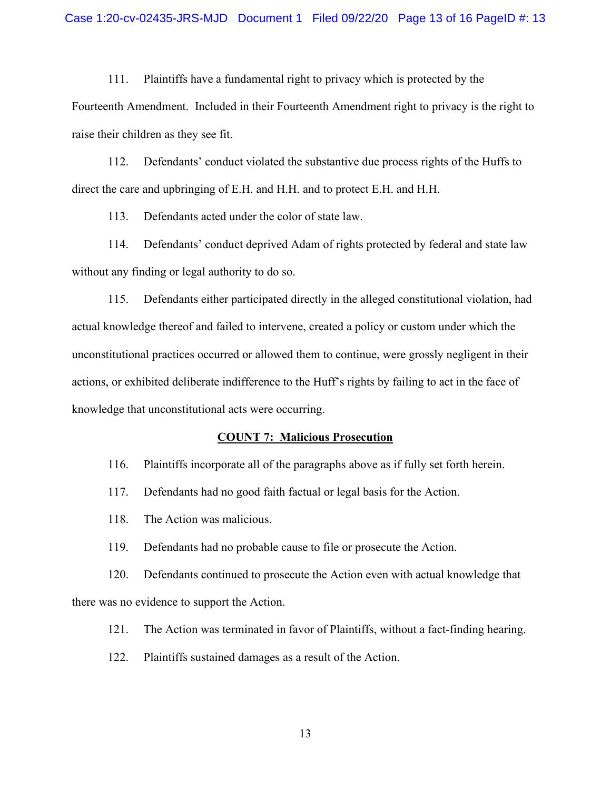111. Plaintiffs have a fundamental right to privacy which is protected by the Fourteenth Amendment. Included in their Fourteenth Amendment right to privacy is the right to raise their children as they see fit.

112. Defendants' conduct violated the substantive due process rights of the Huffs to direct the care and upbringing of E.H. and H.H. and to protect E.H. and H.H.

113. Defendants acted under the color of state law.

114. Defendants' conduct deprived Adam of rights protected by federal and state law without any finding or legal authority to do so.

115. Defendants either participated directly in the alleged constitutional violation, had actual knowledge thereof and failed to intervene, created a policy or custom under which the unconstitutional practices occurred or allowed them to continue, were grossly negligent in their actions, or exhibited deliberate indifference to the Huff's rights by failing to act in the face of knowledge that unconstitutional acts were occurring.

#### **COUNT 7: Malicious Prosecution**

116. Plaintiffs incorporate all of the paragraphs above as if fully set forth herein.

117. Defendants had no good faith factual or legal basis for the Action.

118. The Action was malicious.

119. Defendants had no probable cause to file or prosecute the Action.

120. Defendants continued to prosecute the Action even with actual knowledge that there was no evidence to support the Action.

121. The Action was terminated in favor of Plaintiffs, without a fact-finding hearing.

122. Plaintiffs sustained damages as a result of the Action.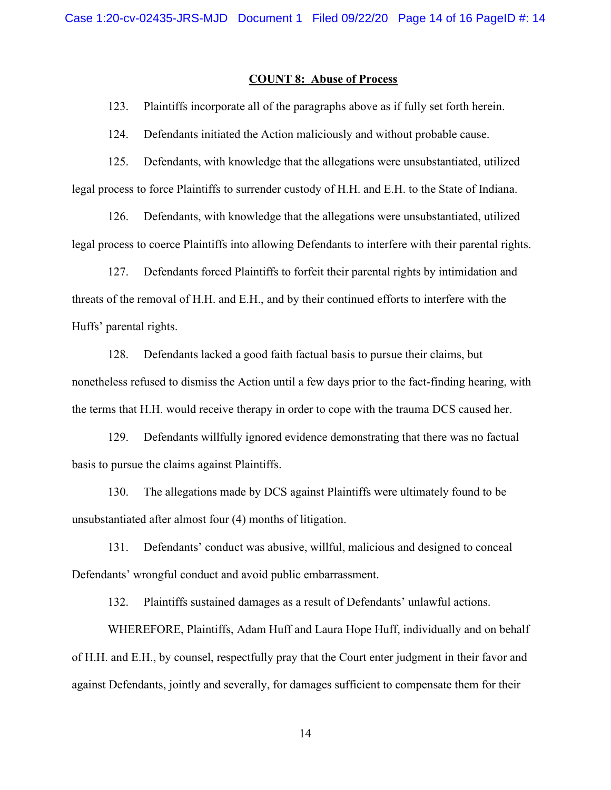#### **COUNT 8: Abuse of Process**

123. Plaintiffs incorporate all of the paragraphs above as if fully set forth herein.

124. Defendants initiated the Action maliciously and without probable cause.

125. Defendants, with knowledge that the allegations were unsubstantiated, utilized legal process to force Plaintiffs to surrender custody of H.H. and E.H. to the State of Indiana.

126. Defendants, with knowledge that the allegations were unsubstantiated, utilized legal process to coerce Plaintiffs into allowing Defendants to interfere with their parental rights.

127. Defendants forced Plaintiffs to forfeit their parental rights by intimidation and threats of the removal of H.H. and E.H., and by their continued efforts to interfere with the Huffs' parental rights.

128. Defendants lacked a good faith factual basis to pursue their claims, but nonetheless refused to dismiss the Action until a few days prior to the fact-finding hearing, with the terms that H.H. would receive therapy in order to cope with the trauma DCS caused her.

129. Defendants willfully ignored evidence demonstrating that there was no factual basis to pursue the claims against Plaintiffs.

130. The allegations made by DCS against Plaintiffs were ultimately found to be unsubstantiated after almost four (4) months of litigation.

131. Defendants' conduct was abusive, willful, malicious and designed to conceal Defendants' wrongful conduct and avoid public embarrassment.

132. Plaintiffs sustained damages as a result of Defendants' unlawful actions.

WHEREFORE, Plaintiffs, Adam Huff and Laura Hope Huff, individually and on behalf of H.H. and E.H., by counsel, respectfully pray that the Court enter judgment in their favor and against Defendants, jointly and severally, for damages sufficient to compensate them for their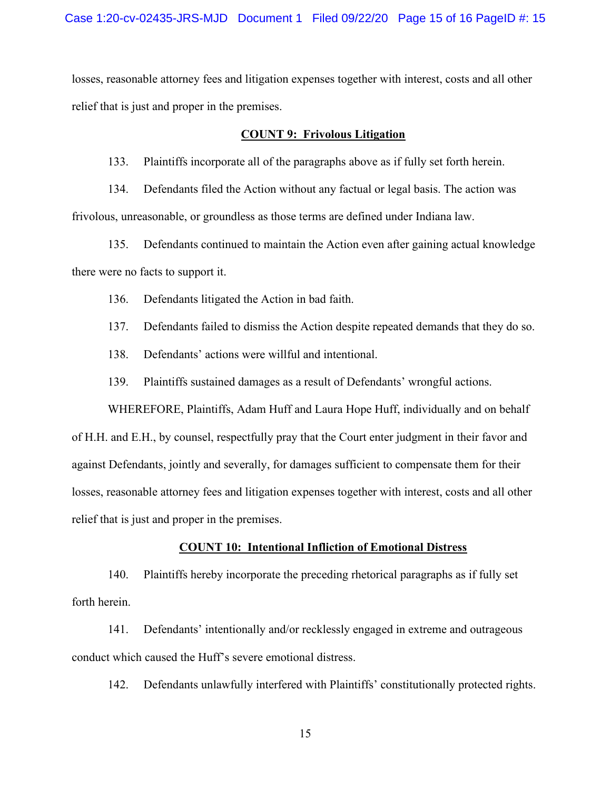losses, reasonable attorney fees and litigation expenses together with interest, costs and all other relief that is just and proper in the premises.

#### **COUNT 9: Frivolous Litigation**

133. Plaintiffs incorporate all of the paragraphs above as if fully set forth herein.

134. Defendants filed the Action without any factual or legal basis. The action was frivolous, unreasonable, or groundless as those terms are defined under Indiana law.

135. Defendants continued to maintain the Action even after gaining actual knowledge there were no facts to support it.

136. Defendants litigated the Action in bad faith.

137. Defendants failed to dismiss the Action despite repeated demands that they do so.

138. Defendants' actions were willful and intentional.

139. Plaintiffs sustained damages as a result of Defendants' wrongful actions.

WHEREFORE, Plaintiffs, Adam Huff and Laura Hope Huff, individually and on behalf of H.H. and E.H., by counsel, respectfully pray that the Court enter judgment in their favor and against Defendants, jointly and severally, for damages sufficient to compensate them for their losses, reasonable attorney fees and litigation expenses together with interest, costs and all other relief that is just and proper in the premises.

#### **COUNT 10: Intentional Infliction of Emotional Distress**

140. Plaintiffs hereby incorporate the preceding rhetorical paragraphs as if fully set forth herein.

141. Defendants' intentionally and/or recklessly engaged in extreme and outrageous conduct which caused the Huff's severe emotional distress.

142. Defendants unlawfully interfered with Plaintiffs' constitutionally protected rights.